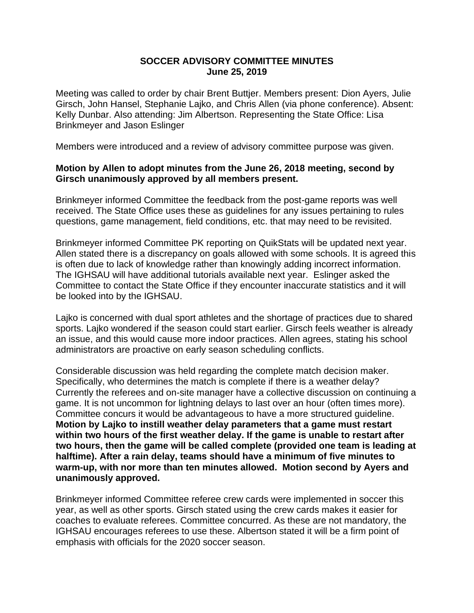## **SOCCER ADVISORY COMMITTEE MINUTES June 25, 2019**

Meeting was called to order by chair Brent Buttjer. Members present: Dion Ayers, Julie Girsch, John Hansel, Stephanie Lajko, and Chris Allen (via phone conference). Absent: Kelly Dunbar. Also attending: Jim Albertson. Representing the State Office: Lisa Brinkmeyer and Jason Eslinger

Members were introduced and a review of advisory committee purpose was given.

## **Motion by Allen to adopt minutes from the June 26, 2018 meeting, second by Girsch unanimously approved by all members present.**

Brinkmeyer informed Committee the feedback from the post-game reports was well received. The State Office uses these as guidelines for any issues pertaining to rules questions, game management, field conditions, etc. that may need to be revisited.

Brinkmeyer informed Committee PK reporting on QuikStats will be updated next year. Allen stated there is a discrepancy on goals allowed with some schools. It is agreed this is often due to lack of knowledge rather than knowingly adding incorrect information. The IGHSAU will have additional tutorials available next year. Eslinger asked the Committee to contact the State Office if they encounter inaccurate statistics and it will be looked into by the IGHSAU.

Lajko is concerned with dual sport athletes and the shortage of practices due to shared sports. Lajko wondered if the season could start earlier. Girsch feels weather is already an issue, and this would cause more indoor practices. Allen agrees, stating his school administrators are proactive on early season scheduling conflicts.

Considerable discussion was held regarding the complete match decision maker. Specifically, who determines the match is complete if there is a weather delay? Currently the referees and on-site manager have a collective discussion on continuing a game. It is not uncommon for lightning delays to last over an hour (often times more). Committee concurs it would be advantageous to have a more structured guideline. **Motion by Lajko to instill weather delay parameters that a game must restart within two hours of the first weather delay. If the game is unable to restart after two hours, then the game will be called complete (provided one team is leading at halftime). After a rain delay, teams should have a minimum of five minutes to warm-up, with nor more than ten minutes allowed. Motion second by Ayers and unanimously approved.**

Brinkmeyer informed Committee referee crew cards were implemented in soccer this year, as well as other sports. Girsch stated using the crew cards makes it easier for coaches to evaluate referees. Committee concurred. As these are not mandatory, the IGHSAU encourages referees to use these. Albertson stated it will be a firm point of emphasis with officials for the 2020 soccer season.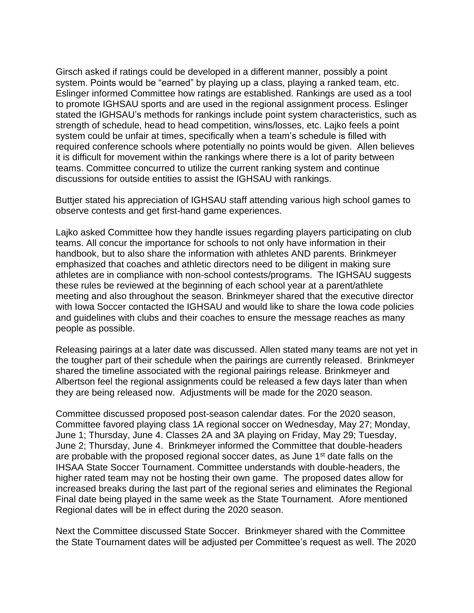Girsch asked if ratings could be developed in a different manner, possibly a point system. Points would be "earned" by playing up a class, playing a ranked team, etc. Eslinger informed Committee how ratings are established. Rankings are used as a tool to promote IGHSAU sports and are used in the regional assignment process. Eslinger stated the IGHSAU's methods for rankings include point system characteristics, such as strength of schedule, head to head competition, wins/losses, etc. Lajko feels a point system could be unfair at times, specifically when a team's schedule is filled with required conference schools where potentially no points would be given. Allen believes it is difficult for movement within the rankings where there is a lot of parity between teams. Committee concurred to utilize the current ranking system and continue discussions for outside entities to assist the IGHSAU with rankings.

Buttjer stated his appreciation of IGHSAU staff attending various high school games to observe contests and get first-hand game experiences.

Lajko asked Committee how they handle issues regarding players participating on club teams. All concur the importance for schools to not only have information in their handbook, but to also share the information with athletes AND parents. Brinkmeyer emphasized that coaches and athletic directors need to be diligent in making sure athletes are in compliance with non-school contests/programs. The IGHSAU suggests these rules be reviewed at the beginning of each school year at a parent/athlete meeting and also throughout the season. Brinkmeyer shared that the executive director with Iowa Soccer contacted the IGHSAU and would like to share the Iowa code policies and guidelines with clubs and their coaches to ensure the message reaches as many people as possible.

Releasing pairings at a later date was discussed. Allen stated many teams are not yet in the tougher part of their schedule when the pairings are currently released. Brinkmeyer shared the timeline associated with the regional pairings release. Brinkmeyer and Albertson feel the regional assignments could be released a few days later than when they are being released now. Adjustments will be made for the 2020 season.

Committee discussed proposed post-season calendar dates. For the 2020 season, Committee favored playing class 1A regional soccer on Wednesday, May 27; Monday, June 1; Thursday, June 4. Classes 2A and 3A playing on Friday, May 29; Tuesday, June 2; Thursday, June 4. Brinkmeyer informed the Committee that double-headers are probable with the proposed regional soccer dates, as June 1<sup>st</sup> date falls on the IHSAA State Soccer Tournament. Committee understands with double-headers, the higher rated team may not be hosting their own game. The proposed dates allow for increased breaks during the last part of the regional series and eliminates the Regional Final date being played in the same week as the State Tournament. Afore mentioned Regional dates will be in effect during the 2020 season.

Next the Committee discussed State Soccer. Brinkmeyer shared with the Committee the State Tournament dates will be adjusted per Committee's request as well. The 2020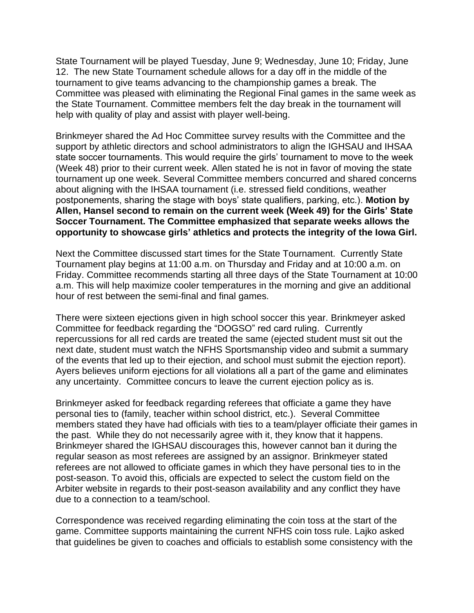State Tournament will be played Tuesday, June 9; Wednesday, June 10; Friday, June 12. The new State Tournament schedule allows for a day off in the middle of the tournament to give teams advancing to the championship games a break. The Committee was pleased with eliminating the Regional Final games in the same week as the State Tournament. Committee members felt the day break in the tournament will help with quality of play and assist with player well-being.

Brinkmeyer shared the Ad Hoc Committee survey results with the Committee and the support by athletic directors and school administrators to align the IGHSAU and IHSAA state soccer tournaments. This would require the girls' tournament to move to the week (Week 48) prior to their current week. Allen stated he is not in favor of moving the state tournament up one week. Several Committee members concurred and shared concerns about aligning with the IHSAA tournament (i.e. stressed field conditions, weather postponements, sharing the stage with boys' state qualifiers, parking, etc.). **Motion by Allen, Hansel second to remain on the current week (Week 49) for the Girls' State Soccer Tournament. The Committee emphasized that separate weeks allows the opportunity to showcase girls' athletics and protects the integrity of the Iowa Girl.**

Next the Committee discussed start times for the State Tournament. Currently State Tournament play begins at 11:00 a.m. on Thursday and Friday and at 10:00 a.m. on Friday. Committee recommends starting all three days of the State Tournament at 10:00 a.m. This will help maximize cooler temperatures in the morning and give an additional hour of rest between the semi-final and final games.

There were sixteen ejections given in high school soccer this year. Brinkmeyer asked Committee for feedback regarding the "DOGSO" red card ruling. Currently repercussions for all red cards are treated the same (ejected student must sit out the next date, student must watch the NFHS Sportsmanship video and submit a summary of the events that led up to their ejection, and school must submit the ejection report). Ayers believes uniform ejections for all violations all a part of the game and eliminates any uncertainty. Committee concurs to leave the current ejection policy as is.

Brinkmeyer asked for feedback regarding referees that officiate a game they have personal ties to (family, teacher within school district, etc.). Several Committee members stated they have had officials with ties to a team/player officiate their games in the past. While they do not necessarily agree with it, they know that it happens. Brinkmeyer shared the IGHSAU discourages this, however cannot ban it during the regular season as most referees are assigned by an assignor. Brinkmeyer stated referees are not allowed to officiate games in which they have personal ties to in the post-season. To avoid this, officials are expected to select the custom field on the Arbiter website in regards to their post-season availability and any conflict they have due to a connection to a team/school.

Correspondence was received regarding eliminating the coin toss at the start of the game. Committee supports maintaining the current NFHS coin toss rule. Lajko asked that guidelines be given to coaches and officials to establish some consistency with the